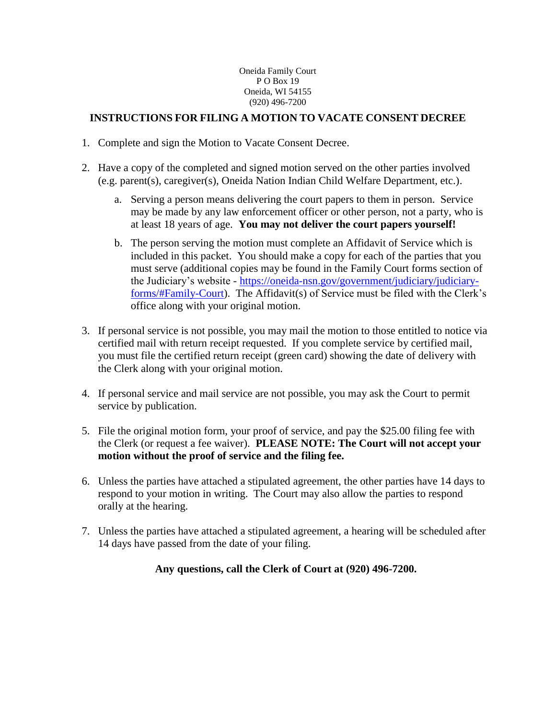#### Oneida Family Court P O Box 19 Oneida, WI 54155 (920) 496-7200

## **INSTRUCTIONS FOR FILING A MOTION TO VACATE CONSENT DECREE**

- 1. Complete and sign the Motion to Vacate Consent Decree.
- 2. Have a copy of the completed and signed motion served on the other parties involved (e.g. parent(s), caregiver(s), Oneida Nation Indian Child Welfare Department, etc.).
	- a. Serving a person means delivering the court papers to them in person. Service may be made by any law enforcement officer or other person, not a party, who is at least 18 years of age. **You may not deliver the court papers yourself!**
	- b. The person serving the motion must complete an Affidavit of Service which is included in this packet. You should make a copy for each of the parties that you must serve (additional copies may be found in the Family Court forms section of the Judiciary's website - [https://oneida-nsn.gov/government/judiciary/judiciary](https://oneida-nsn.gov/government/judiciary/judiciary-forms/#Family-Court)[forms/#Family-Court\)](https://oneida-nsn.gov/government/judiciary/judiciary-forms/#Family-Court). The Affidavit(s) of Service must be filed with the Clerk's office along with your original motion.
- 3. If personal service is not possible, you may mail the motion to those entitled to notice via certified mail with return receipt requested. If you complete service by certified mail, you must file the certified return receipt (green card) showing the date of delivery with the Clerk along with your original motion.
- 4. If personal service and mail service are not possible, you may ask the Court to permit service by publication.
- 5. File the original motion form, your proof of service, and pay the \$25.00 filing fee with the Clerk (or request a fee waiver). **PLEASE NOTE: The Court will not accept your motion without the proof of service and the filing fee.**
- 6. Unless the parties have attached a stipulated agreement, the other parties have 14 days to respond to your motion in writing. The Court may also allow the parties to respond orally at the hearing.
- 7. Unless the parties have attached a stipulated agreement, a hearing will be scheduled after 14 days have passed from the date of your filing.

## **Any questions, call the Clerk of Court at (920) 496-7200.**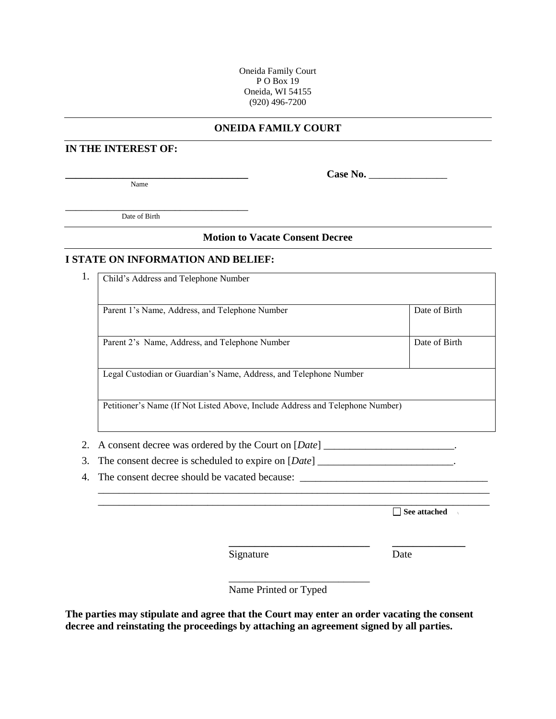Oneida Family Court P O Box 19 Oneida, WI 54155 (920) 496-7200

### **ONEIDA FAMILY COURT**

#### **IN THE INTEREST OF:**

Name

**\_\_\_\_\_\_\_\_\_\_\_\_\_\_\_\_\_\_\_\_\_\_\_\_\_\_\_\_\_\_\_\_\_\_\_ Case No.** \_\_\_\_\_\_\_\_\_\_\_\_\_\_\_

\_\_\_\_\_\_\_\_\_\_\_\_\_\_\_\_\_\_\_\_\_\_\_\_\_\_\_\_\_\_\_\_\_\_\_ Date of Birth

#### **Motion to Vacate Consent Decree**

#### **I STATE ON INFORMATION AND BELIEF:**

1. Child's Address and Telephone Number

Parent 1's Name, Address, and Telephone Number Date of Birth Parent 2's Name, Address, and Telephone Number Date of Birth Legal Custodian or Guardian's Name, Address, and Telephone Number

Petitioner's Name (If Not Listed Above, Include Address and Telephone Number)

- 2. A consent decree was ordered by the Court on [*Date*] \_\_\_\_\_\_\_\_\_\_\_\_\_\_\_\_\_\_\_\_\_\_\_\_.
- 3. The consent decree is scheduled to expire on [*Date*] \_\_\_\_\_\_\_\_\_\_\_\_\_\_\_\_\_\_\_\_\_\_\_\_\_.
- 4. The consent decree should be vacated because: \_\_\_\_\_\_\_\_\_\_\_\_\_\_\_\_\_\_\_\_\_\_\_\_\_\_\_\_\_\_\_

**See attached** 

Signature Date

Name Printed or Typed

\_\_\_\_\_\_\_\_\_\_\_\_\_\_\_\_\_\_\_\_\_\_\_\_\_\_\_

\_\_\_\_\_\_\_\_\_\_\_\_\_\_\_\_\_\_\_\_\_\_\_\_\_\_\_\_\_\_\_\_\_\_\_\_\_\_\_\_\_\_\_\_\_\_\_\_\_\_\_\_\_\_\_\_\_\_\_\_\_\_\_\_\_\_\_\_\_\_\_\_\_\_\_ \_\_\_\_\_\_\_\_\_\_\_\_\_\_\_\_\_\_\_\_\_\_\_\_\_\_\_\_\_\_\_\_\_\_\_\_\_\_\_\_\_\_\_\_\_\_\_\_\_\_\_\_\_\_\_\_\_\_\_\_\_\_\_\_\_\_\_\_\_\_\_\_\_\_\_

**\_\_\_\_\_\_\_\_\_\_\_\_\_\_\_\_\_\_\_\_\_\_\_\_\_\_\_ \_\_\_\_\_\_\_\_\_\_\_\_\_\_**

**The parties may stipulate and agree that the Court may enter an order vacating the consent decree and reinstating the proceedings by attaching an agreement signed by all parties.**